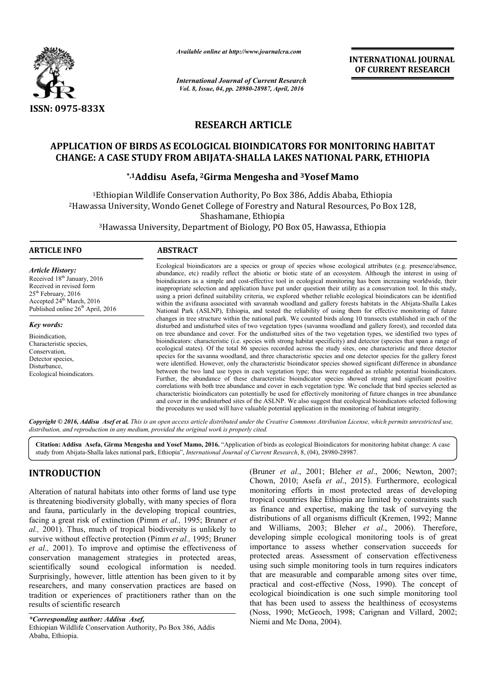

*Available online at http://www.journalcra.com*

*International Journal of Current Research Vol. 8, Issue, 04, pp. 28980-28987, April, 2016*

**INTERNATIONAL JOURNAL OF CURRENT RESEARCH** 

# **RESEARCH ARTICLE**

# **APPLICATION OF BIRDS AS ECOLOGICAL BIOINDICATORS FOR MONITORING HABITAT CHANGE: A CASE STUDY FROM ABIJATA ABIJATA-SHALLA LAKES NATIONAL PARK, ETHIOPIA** OF BIRDS AS ECOLOGICAL BIOINDICATORS FOR MONIT<br>ASE STUDY FROM ABIJATA-SHALLA LAKES NATIONAL F<br><sup>\*,1</sup>Addisu Asefa, <sup>2</sup>Girma Mengesha and <sup>3</sup>Yosef Mamo

1Ethiopian Wildlife Conservation Authority, Po Box 386, Addis Ababa, Ethiopia 2Hawassa University, Wondo Genet College of Forestry and Natural Resources, Po Box 128, 3Hawassa University, Department of Biology, PO Box 05, Hawassa, Ethiopia Hawassa Ethiopian Wildlife Conservation Authority, Po Box 386, Addis Ababa, Ethiop<br>Sa University, Wondo Genet College of Forestry and Natural Resources, Po<br>Shashamane, Ethiopia

#### **ARTICLE INFO ABSTRACT**

*Article History:* Received 18<sup>th</sup> January, 2016 Received in revised form 25<sup>th</sup> February, 2016 Accepted 24<sup>th</sup> March, 2016 Published online  $26<sup>th</sup>$  April, 2016

*Key words:*

Bioindication, Characteristic species, Conservation, Detector species, Disturbance, Ecological bioindicators.

Ecological bioindicators are a species or group of species whose ecological attributes (e.g. presence/absence, abundance, etc) readily reflect the abiotic or biotic state of an ecosystem. Although the interest in using of Ecological bioindicators are a species or group of species whose ecological attributes (e.g. presence/absence, abundance, etc) readily reflect the abiotic or biotic state of an ecosystem. Although the interest in using of inappropriate selection and application have put under question their utility as a conservation tool. In this study, inappropriate selection and application have put under question their utility as a conservation tool. In this study,<br>using a priori defined suitability criteria, we explored whether reliable ecological bioindicators can be within the avifauna associated with savannah woodland and gallery forests habitats in the Abijata-Shalla Lakes National Park (ASLNP), Ethiopia, and tested the reliability of using them for effective monitoring of future changes in tree structure within the national park. We counted birds along 10 transects established in each of the disturbed and undisturbed sites of two vegetation types (savanna woodland and gallery forest), and recorded data on tree abundance and cover. For the undisturbed sites of the two vegetation types, we identified two types of bioindicators: characteristic (i.e. species with strong habitat specificity) and detector (species that span a range of ecological states). Of the total 86 species recorded across the study sites, one characteristic and three detector species for the savanna woodland, and three characteristic species and one detector species for the gallery forest species for the savanna woodland, and three characteristic species and one detector species for the gallery forest<br>were identified. However, only the characteristic bioindicator species showed significant difference in abu between the two land use types in each vegetation type; thus were regarded as reliable potential bioindicators. Further, the abundance of these characteristic bioindicator species showed strong and significant positive correlations with both tree abundance and cover in each vegetation type. We conclude that bird species selected as characteristic bioindicators can potentially be used for effectively monitoring of future changes in tree abundance and cover in the undisturbed sites of the ASLNP. We also s suggest that ecological bioindicators selected following the procedures we used will have valuable potential application in the monitoring of habitat integrity. National Park (ASLNP), Ethiopia, and tested the reliability of using them for effective monitoring of future changes in tree structure within the national park. We counted birds along 10 transects established in each of th between the two land use types in each vegetation type; thus were regarded as reliable potential bioindicators.<br>Further, the abundance of these characteristic bioindicator species showed strong and significant positive cor

Copyright © 2016, Addisu Asef et al. This is an open access article distributed under the Creative Commons Attribution License, which permits unrestricted use, *distribution, and reproduction in any medium, provided the original work is properly cited.*

Citation: Addisu Asefa, Girma Mengesha and Yosef Mamo, 2016. "Application of birds as ecological Bioindicators for monitoring habitat change: A case **Citation: Addisu Asefa, Girma Mengesha and Yosef Mamo, 2016.** "Application of birds as ecological Bioindicators foi<br>study from Abijata-Shalla lakes national park, Ethiopia", *International Journal of Current Research*, 8,

# **INTRODUCTION**

Alteration of natural habitats into other forms of land use type is threatening biodiversity globally, with many species of flora and fauna, particularly in the developing tropical countries, facing a great risk of extinction (Pimm *et al.,* 1995; Bruner *et al.,* 2001). Thus, much of tropical biodiversity is unlikely to survive without effective protection (Pimm *et al.,* 1995; Bruner *et al.,* 2001). To improve and optimise the effectiveness of conservation management strategies in protected areas, scientifically sound ecological information is needed. Surprisingly, however, little attention has been given to it by researchers, and many conservation practices are based on tradition or experiences of practitioners rather than on the results of scientific research **ICTION** (Bruner *et al.*, 2001; Bleher<br>
Chown, 2010; Asefa *et al.*, 2<br>
f natural habitats into other forms of land use type<br>
g biodiversity globally, with many species of flora<br>
particularly in the developing tropical co

Chown, 2010; Asefa *et al*., 2015). Furthermore, ecological monitoring efforts in most protected areas of developing tropical countries like Ethiopia are limited by constraints such as finance and expertise, making the task of surveying the distributions of all organisms difficult (Kremen, 1992; Manne and Williams, 2003; Bleher et al., 2006). Therefore, developing simple ecological monitoring tools is of great importance to assess whether conservation succeeds for protected areas. Assessment of conservation effectiveness using such simple monitoring tools in turn requires indicators that are measurable and comparable among sites over time, practical and cost-effective (Noss, 1990). The concept of ecological bioindication is one such simple monitoring tool that has been used to assess the healthiness of ecosystems (Noss, 1990; McGeoch, 1998; Carignan and Villard, 2002; Niemi and Mc Dona, 2004). *(Bruner et al., 2001; Bleher et al., 2006; Newton, 2007;* monitoring efforts in most protected areas of developing<br>tropical countries like Ethiopia are limited by constraints such<br>as finance and expertise, making the task of surveying the<br>distributions of all organisms difficult l areas. Assessment of conservation effectiveness<br>th simple monitoring tools in turn requires indicators<br>measurable and comparable among sites over time,<br>and cost-effective (Noss, 1990). The concept of<br>al bioindication is

*<sup>\*</sup>Corresponding author: Addisu Asef,* Ethiopian Wildlife Conservation Authority, Po Box 386, Addis Ababa, Ethiopia.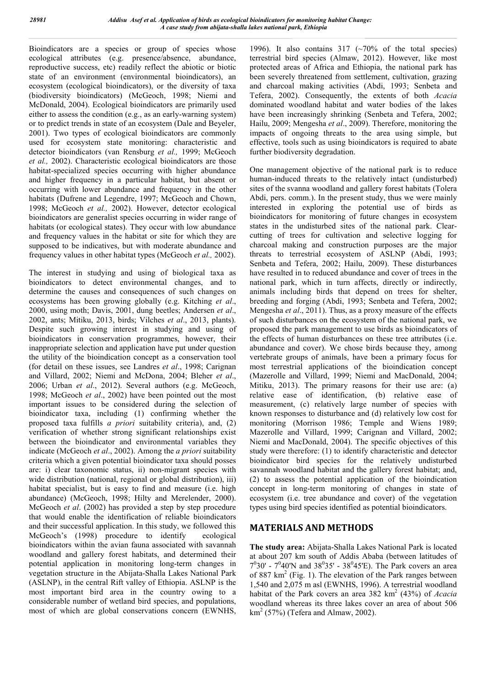Bioindicators are a species or group of species whose ecological attributes (e.g. presence/absence, abundance, reproductive success, etc) readily reflect the abiotic or biotic state of an environment (environmental bioindicators), an ecosystem (ecological bioindicators), or the diversity of taxa (biodiversity bioindicators) (McGeoch, 1998; Niemi and McDonald, 2004). Ecological bioindicators are primarily used either to assess the condition (e.g., as an early-warning system) or to predict trends in state of an ecosystem (Dale and Beyeler, 2001). Two types of ecological bioindicators are commonly used for ecosystem state monitoring: characteristic and detector bioindicators (van Rensburg *et al.,* 1999; McGeoch *et al.,* 2002). Characteristic ecological bioindicators are those habitat-specialized species occurring with higher abundance and higher frequency in a particular habitat, but absent or occurring with lower abundance and frequency in the other habitats (Dufrene and Legendre, 1997; McGeoch and Chown, 1998; McGeoch *et al.,* 2002). However, detector ecological bioindicators are generalist species occurring in wider range of habitats (or ecological states). They occur with low abundance and frequency values in the habitat or site for which they are supposed to be indicatives, but with moderate abundance and frequency values in other habitat types (McGeoch *et al.,* 2002).

The interest in studying and using of biological taxa as bioindicators to detect environmental changes, and to determine the causes and consequences of such changes on ecosystems has been growing globally (e.g. Kitching *et al*., 2000, using moth; Davis, 2001, dung beetles; Andersen *et al*., 2002, ants; Mitiku, 2013, birds; Vilches *et al*., 2013, plants). Despite such growing interest in studying and using of bioindicators in conservation programmes, however, their inappropriate selection and application have put under question the utility of the bioindication concept as a conservation tool (for detail on these issues, see Landres *et al*., 1998; Carignan and Villard, 2002; Niemi and McDona, 2004; Bleher *et al*., 2006; Urban *et al*., 2012). Several authors (e.g. McGeoch, 1998; McGeoch *et al*., 2002) have been pointed out the most important issues to be considered during the selection of bioindicator taxa, including (1) confirming whether the proposed taxa fulfills *a priori* suitability criteria), and, (2) verification of whether strong significant relationships exist between the bioindicator and environmental variables they indicate (McGeoch *et al*., 2002). Among the *a priori* suitability criteria which a given potential bioindicator taxa should posses are: i) clear taxonomic status, ii) non-migrant species with wide distribution (national, regional or global distribution), iii) habitat specialist, but is easy to find and measure (i.e. high abundance) (McGeoch, 1998; Hilty and Merelender, 2000). McGeoch *et al*. (2002) has provided a step by step procedure that would enable the identification of reliable bioindicators and their successful application. In this study, we followed this McGeoch's (1998) procedure to identify ecological bioindicators within the avian fauna associated with savannah woodland and gallery forest habitats, and determined their potential application in monitoring long-term changes in vegetation structure in the Abijata-Shalla Lakes National Park (ASLNP), in the central Rift valley of Ethiopia. ASLNP is the most important bird area in the country owing to a considerable number of wetland bird species, and populations, most of which are global conservations concern (EWNHS,

1996). It also contains 317  $({\sim}70\%$  of the total species) terrestrial bird species (Almaw, 2012). However, like most protected areas of Africa and Ethiopia, the national park has been severely threatened from settlement, cultivation, grazing and charcoal making activities (Abdi, 1993; Senbeta and Tefera, 2002). Consequently, the extents of both *Acacia* dominated woodland habitat and water bodies of the lakes have been increasingly shrinking (Senbeta and Tefera, 2002; Hailu, 2009; Mengesha *et al*., 2009). Therefore, monitoring the impacts of ongoing threats to the area using simple, but effective, tools such as using bioindicators is required to abate further biodiversity degradation.

One management objective of the national park is to reduce human-induced threats to the relatively intact (undisturbed) sites of the svanna woodland and gallery forest habitats (Tolera Abdi, pers. comm.). In the present study, thus we were mainly interested in exploring the potential use of birds as bioindicators for monitoring of future changes in ecosystem states in the undisturbed sites of the national park. Clearcutting of trees for cultivation and selective logging for charcoal making and construction purposes are the major threats to terrestrial ecosystem of ASLNP (Abdi, 1993; Senbeta and Tefera, 2002; Hailu, 2009). These disturbances have resulted in to reduced abundance and cover of trees in the national park, which in turn affects, directly or indirectly, animals including birds that depend on trees for shelter, breeding and forging (Abdi, 1993; Senbeta and Tefera, 2002; Mengesha *et al*., 2011). Thus, as a proxy measure of the effects of such disturbances on the ecosystem of the national park, we proposed the park management to use birds as bioindicators of the effects of human disturbances on these tree attributes (i.e. abundance and cover). We chose birds because they, among vertebrate groups of animals, have been a primary focus for most terrestrial applications of the bioindication concept (Mazerolle and Villard, 1999; Niemi and MacDonald, 2004; Mitiku, 2013). The primary reasons for their use are: (a) relative ease of identification, (b) relative ease of measurement, (c) relatively large number of species with known responses to disturbance and (d) relatively low cost for monitoring (Morrison 1986; Temple and Wiens 1989; Mazerolle and Villard, 1999; Carignan and Villard, 2002; Niemi and MacDonald, 2004). The specific objectives of this study were therefore: (1) to identify characteristic and detector bioindicator bird species for the relatively undisturbed savannah woodland habitat and the gallery forest habitat; and, (2) to assess the potential application of the bioindication concept in long-term monitoring of changes in state of ecosystem (i.e. tree abundance and cover) of the vegetation types using bird species identified as potential bioindicators.

## **MATERIALS AND METHODS**

**The study area:** Abijata-Shalla Lakes National Park is located at about 207 km south of Addis Ababa (between latitudes of  $7^030'$  -  $7^040'$ N and  $38^035'$  -  $38^045'E$ ). The Park covers an area of 887 km2 (Fig. 1). The elevation of the Park ranges between 1,540 and 2,075 m asl (EWNHS, 1996). A terrestrial woodland habitat of the Park covers an area 382 km<sup>2</sup> (43%) of *Acacia* woodland whereas its three lakes cover an area of about 506  $km<sup>2</sup>$  (57%) (Tefera and Almaw, 2002).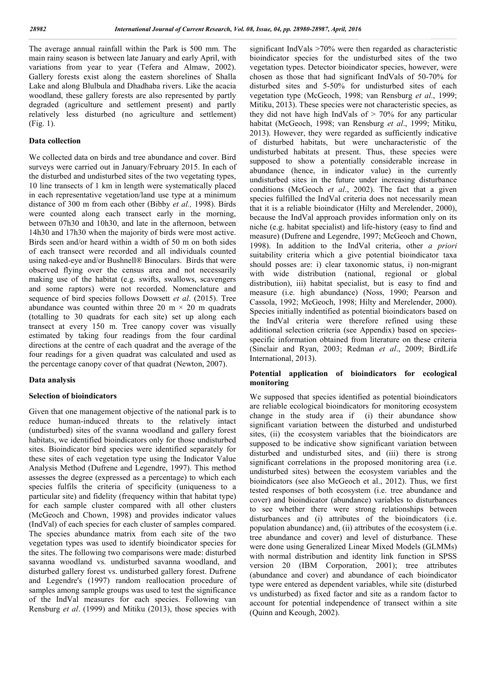The average annual rainfall within the Park is 500 mm. The main rainy season is between late January and early April, with variations from year to year (Tefera and Almaw, 2002). Gallery forests exist along the eastern shorelines of Shalla Lake and along Blulbula and Dhadhaba rivers. Like the acacia woodland, these gallery forests are also represented by partly degraded (agriculture and settlement present) and partly relatively less disturbed (no agriculture and settlement) (Fig. 1).

#### **Data collection**

We collected data on birds and tree abundance and cover. Bird surveys were carried out in January/February 2015. In each of the disturbed and undisturbed sites of the two vegetating types, 10 line transects of 1 km in length were systematically placed in each representative vegetation/land use type at a minimum distance of 300 m from each other (Bibby *et al.,* 1998). Birds were counted along each transect early in the morning, between 07h30 and 10h30, and late in the afternoon, between 14h30 and 17h30 when the majority of birds were most active. Birds seen and/or heard within a width of 50 m on both sides of each transect were recorded and all individuals counted using naked-eye and/or Bushnell® Binoculars. Birds that were observed flying over the census area and not necessarily making use of the habitat (e.g. swifts, swallows, scavengers and some raptors) were not recorded. Nomenclature and sequence of bird species follows Dowsett *et al*. (2015). Tree abundance was counted within three 20 m  $\times$  20 m quadrats (totalling to 30 quadrats for each site) set up along each transect at every 150 m. Tree canopy cover was visually estimated by taking four readings from the four cardinal directions at the centre of each quadrat and the average of the four readings for a given quadrat was calculated and used as the percentage canopy cover of that quadrat (Newton, 2007).

#### **Data analysis**

### **Selection of bioindicators**

Given that one management objective of the national park is to reduce human-induced threats to the relatively intact (undisturbed) sites of the svanna woodland and gallery forest habitats, we identified bioindicators only for those undisturbed sites. Bioindicator bird species were identified separately for these sites of each vegetation type using the Indicator Value Analysis Method (Dufrene and Legendre, 1997). This method assesses the degree (expressed as a percentage) to which each species fulfils the criteria of specificity (uniqueness to a particular site) and fidelity (frequency within that habitat type) for each sample cluster compared with all other clusters (McGeoch and Chown, 1998) and provides indicator values (IndVal) of each species for each cluster of samples compared. The species abundance matrix from each site of the two vegetation types was used to identify bioindicator species for the sites. The following two comparisons were made: disturbed savanna woodland vs. undisturbed savanna woodland, and disturbed gallery forest vs. undisturbed gallery forest. Dufrene and Legendre's (1997) random reallocation procedure of samples among sample groups was used to test the significance of the IndVal measures for each species. Following van Rensburg *et al*. (1999) and Mitiku (2013), those species with

significant IndVals >70% were then regarded as characteristic bioindicator species for the undisturbed sites of the two vegetation types. Detector bioindicator species, however, were chosen as those that had significant IndVals of 50-70% for disturbed sites and 5-50% for undisturbed sites of each vegetation type (McGeoch, 1998; van Rensburg *et al*., 1999; Mitiku, 2013). These species were not characteristic species, as they did not have high IndVals of  $> 70\%$  for any particular habitat (McGeoch, 1998; van Rensburg *et al*., 1999; Mitiku, 2013). However, they were regarded as sufficiently indicative of disturbed habitats, but were uncharacteristic of the undisturbed habitats at present. Thus, these species were supposed to show a potentially considerable increase in abundance (hence, in indicator value) in the currently undisturbed sites in the future under increasing disturbance conditions (McGeoch *et al*., 2002). The fact that a given species fulfilled the IndVal criteria does not necessarily mean that it is a reliable bioindicator (Hilty and Merelender, 2000), because the IndVal approach provides information only on its niche (e.g. habitat specialist) and life-history (easy to find and measure) (Dufrene and Legendre, 1997; McGeoch and Chown, 1998). In addition to the IndVal criteria, other *a priori* suitability criteria which a give potential bioindicator taxa should posses are: i) clear taxonomic status, i) non-migrant with wide distribution (national, regional or global distribution), iii) habitat specialist, but is easy to find and measure (i.e. high abundance) (Noss, 1990; Pearson and Cassola, 1992; McGeoch, 1998; Hilty and Merelender, 2000). Species initially indentified as potential bioindicators based on the IndVal criteria were therefore refined using these additional selection criteria (see Appendix) based on speciesspecific information obtained from literature on these criteria (Sinclair and Ryan, 2003; Redman *et al*., 2009; BirdLife International, 2013).

### **Potential application of bioindicators for ecological monitoring**

We supposed that species identified as potential bioindicators are reliable ecological bioindicators for monitoring ecosystem change in the study area if (i) their abundance show significant variation between the disturbed and undisturbed sites, (ii) the ecosystem variables that the bioindicators are supposed to be indicative show significant variation between disturbed and undisturbed sites, and (iii) there is strong significant correlations in the proposed monitoring area (i.e. undisturbed sites) between the ecosystem variables and the bioindicators (see also McGeoch et al., 2012). Thus, we first tested responses of both ecosystem (i.e. tree abundance and cover) and bioindicator (abundance) variables to disturbances to see whether there were strong relationships between disturbances and (i) attributes of the bioindicators (i.e. population abundance) and, (ii) attributes of the ecosystem (i.e. tree abundance and cover) and level of disturbance. These were done using Generalized Linear Mixed Models (GLMMs) with normal distribution and identity link function in SPSS version 20 (IBM Corporation, 2001); tree attributes (abundance and cover) and abundance of each bioindicator type were entered as dependent variables, while site (disturbed vs undisturbed) as fixed factor and site as a random factor to account for potential independence of transect within a site (Quinn and Keough, 2002).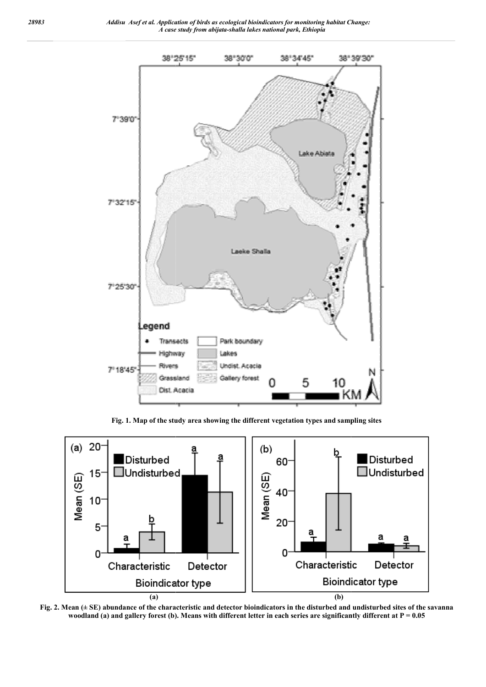

Fig. 1. Map of the study area showing the different vegetation types and sampling sites



Fig. 2. Mean ( $\pm$  SE) abundance of the characteristic and detector bioindicators in the disturbed and undisturbed sites of the savanna woodland (a) and gallery forest (b). Means with different letter in each series are significantly different at P = 0.05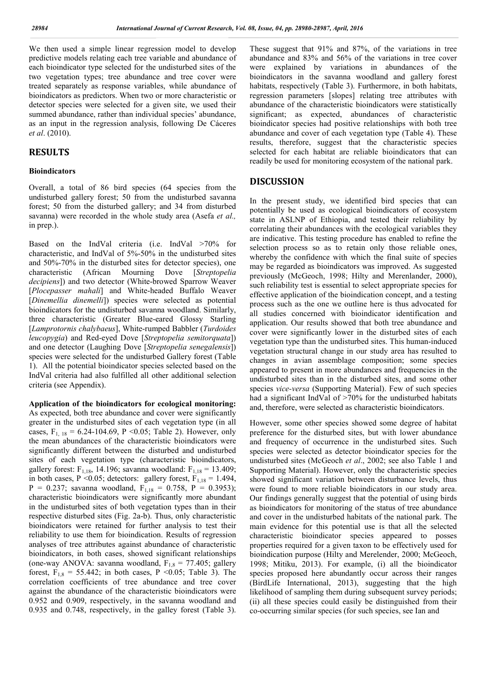We then used a simple linear regression model to develop predictive models relating each tree variable and abundance of each bioindicator type selected for the undisturbed sites of the two vegetation types; tree abundance and tree cover were treated separately as response variables, while abundance of bioindicators as predictors. When two or more characteristic or detector species were selected for a given site, we used their summed abundance, rather than individual species' abundance, as an input in the regression analysis, following De Cáceres *et al*. (2010).

### **RESULTS**

#### **Bioindicators**

Overall, a total of 86 bird species (64 species from the undisturbed gallery forest; 50 from the undisturbed savanna forest; 50 from the disturbed gallery; and 34 from disturbed savanna) were recorded in the whole study area (Asefa *et al.,* in prep.).

Based on the IndVal criteria (i.e. IndVal >70% for characteristic, and IndVal of 5%-50% in the undisturbed sites and 50%-70% in the disturbed sites for detector species), one characteristic (African Mourning Dove [*Streptopelia decipiens*]) and two detector (White-browed Sparrow Weaver [*Plocepasser mahali*] and White-headed Buffalo Weaver [*Dinemellia dinemelli*]) species were selected as potential bioindicators for the undisturbed savanna woodland. Similarly, three characteristic (Greater Blue-eared Glossy Starling [*Lamprotornis chalybaeus*], White-rumped Babbler (*Turdoides leucopygia*) and Red-eyed Dove [*Streptopelia semitorquata*]) and one detector (Laughing Dove [*Streptopelia senegalensis*]) species were selected for the undisturbed Gallery forest (Table 1). All the potential bioindicator species selected based on the IndVal criteria had also fulfilled all other additional selection criteria (see Appendix).

**Application of the bioindicators for ecological monitoring:**  As expected, both tree abundance and cover were significantly greater in the undisturbed sites of each vegetation type (in all cases,  $F_{1, 18} = 6.24{\text -}104.69$ , P < 0.05; Table 2). However, only the mean abundances of the characteristic bioindicators were significantly different between the disturbed and undisturbed sites of each vegetation type (characteristic bioindicators, gallery forest:  $F_{1,18}$ , 14.196; savanna woodland:  $F_{1,18} = 13.409$ ; in both cases, P < 0.05; detectors: gallery forest,  $F_{1,18} = 1.494$ ,  $P = 0.237$ ; savanna woodland,  $F_{1,18} = 0.758$ ,  $P = 0.3953$ ); characteristic bioindicators were significantly more abundant in the undisturbed sites of both vegetation types than in their respective disturbed sites (Fig. 2a-b). Thus, only characteristic bioindicators were retained for further analysis to test their reliability to use them for bioindication. Results of regression analyses of tree attributes against abundance of characteristic bioindicators, in both cases, showed significant relationships (one-way ANOVA: savanna woodland,  $F_{1,8} = 77.405$ ; gallery forest,  $F_{1,8} = 55.442$ ; in both cases, P < 0.05; Table 3). The correlation coefficients of tree abundance and tree cover against the abundance of the characteristic bioindicators were 0.952 and 0.909, respectively, in the savanna woodland and 0.935 and 0.748, respectively, in the galley forest (Table 3).

These suggest that 91% and 87%, of the variations in tree abundance and 83% and 56% of the variations in tree cover were explained by variations in abundances of the bioindicators in the savanna woodland and gallery forest habitats, respectively (Table 3). Furthermore, in both habitats, regression parameters [slopes] relating tree attributes with abundance of the characteristic bioindicators were statistically significant; as expected, abundances of characteristic bioindicator species had positive relationships with both tree abundance and cover of each vegetation type (Table 4). These results, therefore, suggest that the characteristic species selected for each habitat are reliable bioindicators that can readily be used for monitoring ecosystem of the national park.

#### **DISCUSSION**

In the present study, we identified bird species that can potentially be used as ecological bioindicators of ecosystem state in ASLNP of Ethiopia, and tested their reliability by correlating their abundances with the ecological variables they are indicative. This testing procedure has enabled to refine the selection process so as to retain only those reliable ones, whereby the confidence with which the final suite of species may be regarded as bioindicators was improved. As suggested previously (McGeoch, 1998; Hilty and Merenlander, 2000), such reliability test is essential to select appropriate species for effective application of the bioindication concept, and a testing process such as the one we outline here is thus advocated for all studies concerned with bioindicator identification and application. Our results showed that both tree abundance and cover were significantly lower in the disturbed sites of each vegetation type than the undisturbed sites. This human-induced vegetation structural change in our study area has resulted to changes in avian assemblage composition; some species appeared to present in more abundances and frequencies in the undisturbed sites than in the disturbed sites, and some other species *vice-versa* (Supporting Material). Few of such species had a significant IndVal of >70% for the undisturbed habitats and, therefore, were selected as characteristic bioindicators.

However, some other species showed some degree of habitat preference for the disturbed sites, but with lower abundance and frequency of occurrence in the undisturbed sites. Such species were selected as detector bioindicator species for the undisturbed sites (McGeoch *et al*., 2002; see also Table 1 and Supporting Material). However, only the characteristic species showed significant variation between disturbance levels, thus were found to more reliable bioindicators in our study area. Our findings generally suggest that the potential of using birds as bioindicators for monitoring of the status of tree abundance and cover in the undisturbed habitats of the national park. The main evidence for this potential use is that all the selected characteristic bioindicator species appeared to posses properties required for a given taxon to be effectively used for bioindication purpose (Hilty and Merelender, 2000; McGeoch, 1998; Mitiku, 2013). For example, (i) all the bioindicator species proposed here abundantly occur across their ranges (BirdLife International, 2013), suggesting that the high likelihood of sampling them during subsequent survey periods; (ii) all these species could easily be distinguished from their co-occurring similar species (for such species, see Ian and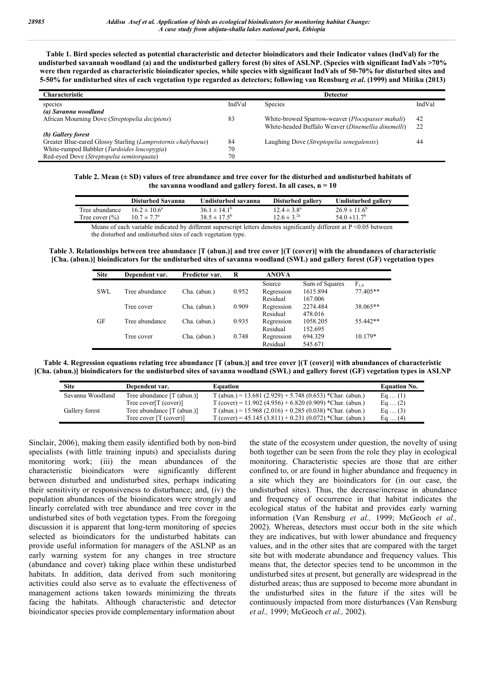**Table 1. Bird species selected as potential characteristic and detector bioindicators and their Indicator values (IndVal) for the undisturbed savannah woodland (a) and the undisturbed gallery forest (b) sites of ASLNP. (Species with significant IndVals >70% were then regarded as characteristic bioindicator species, while species with significant IndVals of 50-70% for disturbed sites and 5-50% for undisturbed sites of each vegetation type regarded as detectors; following van Rensburg** *et al***. (1999) and Mitiku (2013)**

| <b>Characteristic</b>                                        |        | <b>Detector</b>                                           |        |
|--------------------------------------------------------------|--------|-----------------------------------------------------------|--------|
| species                                                      | IndVal | Species                                                   | IndVal |
| (a) Savanna woodland                                         |        |                                                           |        |
| African Mourning Dove (Streptopelia decipiens)               | 83     | White-browed Sparrow-weaver ( <i>Plocepasser mahali</i> ) | 42     |
|                                                              |        | White-headed Buffalo Weaver (Dinemellia dinemelli)        | 22     |
| (b) Gallery forest                                           |        |                                                           |        |
| Greater Blue-eared Glossy Starling (Lamprotornis chalybaeus) | 84     | Laughing Dove (Streptopelia senegalensis)                 | 44     |
| White-rumped Babbler (Turdoides leucopygia)                  | 70     |                                                           |        |
| Red-eyed Dove (Streptopelia semitorquata)                    | 70     |                                                           |        |

**Table 2. Mean (± SD) values of tree abundance and tree cover for the disturbed and undisturbed habitats of**  the savanna woodland and gallery forest. In all cases,  $n = 10$ 

|                                                                                                                           | Disturbed Savanna       | Undisturbed savanna     | Disturbed gallery      | Undisturbed gallery          |  |
|---------------------------------------------------------------------------------------------------------------------------|-------------------------|-------------------------|------------------------|------------------------------|--|
| Tree abundance.                                                                                                           | $16.2 \pm 10.6^{\circ}$ | $36.1 \pm 14.1^{\circ}$ | $12.4 \pm 3.8^{\circ}$ | $26.9 \pm 11.6^{\circ}$      |  |
| Tree cover $(\% )$                                                                                                        | $10.7 \pm 7.7^{\circ}$  | $38.5 \pm 17.5^{\circ}$ | $12.6 \pm 3^{2a}$      | 54.0 $\pm$ 11.7 <sup>b</sup> |  |
| Means of each variable indicated by different superscript letters denotes significantly different at $P \le 0.05$ between |                         |                         |                        |                              |  |

Means of each variable indicated by different superscript letters denotes significantly different at P <0.05 between the disturbed and undisturbed sites of each vegetation type.

**Table 3. Relationships between tree abundance [T (abun.)] and tree cover [(T (cover)] with the abundances of characteristic [Cha. (abun.)] bioindicators for the undisturbed sites of savanna woodland (SWL) and gallery forest (GF) vegetation types**

| <b>Site</b> | Dependent var. | Predictor var. | R     | <b>ANOVA</b> |                |           |
|-------------|----------------|----------------|-------|--------------|----------------|-----------|
|             |                |                |       | Source       | Sum of Squares | $F_{1.8}$ |
| SWL         | Tree abundance | Cha. (abun.)   | 0.952 | Regression   | 1615.894       | 77.405**  |
|             |                |                |       | Residual     | 167.006        |           |
|             | Tree cover     | Cha. (abun.)   | 0.909 | Regression   | 2274.484       | 38.065**  |
|             |                |                |       | Residual     | 478.016        |           |
| GF          | Tree abundance | Cha. (abun.)   | 0.935 | Regression   | 1058.205       | 55.442**  |
|             |                |                |       | Residual     | 152.695        |           |
|             | Tree cover     | Cha. (abun.)   | 0.748 | Regression   | 694.329        | $10.179*$ |
|             |                |                |       | Residual     | 545.671        |           |

**Table 4. Regression equations relating tree abundance [T (abun.)] and tree cover [(T (cover)] with abundances of characteristic [Cha. (abun.)] bioindicators for the undisturbed sites of savanna woodland (SWL) and gallery forest (GF) vegetation types in ASLNP**

| <b>Site</b>      | Dependent var.              | Equation                                                  | <b>Equation No.</b> |
|------------------|-----------------------------|-----------------------------------------------------------|---------------------|
| Savanna Woodland | Tree abundance [T (abun.)]  | T (abun.) = 13.681 (2.929) + 5.748 (0.653) *Char. (abun.) | Eq $(1)$            |
|                  | Tree cover $[T$ (cover) $]$ | T (cover) = 11.902 (4.956) + 6.820 (0.909) *Char. (abun.) | Eq $(2)$            |
| Gallery forest   | Tree abundance [T (abun.)]  | T (abun.) = 15.968 (2.016) + 0.285 (0.038) *Char. (abun.) | Eq $(3)$            |
|                  | Tree cover $[T$ (cover) $]$ | T (cover) = $45.145(3.811) + 0.231(0.072)$ *Char. (abun.) | Eq $(4)$            |

Sinclair, 2006), making them easily identified both by non-bird specialists (with little training inputs) and specialists during monitoring work; (iii) the mean abundances of the characteristic bioindicators were significantly different between disturbed and undisturbed sites, perhaps indicating their sensitivity or responsiveness to disturbance; and, (iv) the population abundances of the bioindicators were strongly and linearly correlated with tree abundance and tree cover in the undisturbed sites of both vegetation types. From the foregoing discussion it is apparent that long-term monitoring of species selected as bioindicators for the undisturbed habitats can provide useful information for managers of the ASLNP as an early warning system for any changes in tree structure (abundance and cover) taking place within these undisturbed habitats. In addition, data derived from such monitoring activities could also serve as to evaluate the effectiveness of management actions taken towards minimizing the threats facing the habitats. Although characteristic and detector bioindicator species provide complementary information about

the state of the ecosystem under question, the novelty of using both together can be seen from the role they play in ecological monitoring. Characteristic species are those that are either confined to, or are found in higher abundance and frequency in a site which they are bioindicators for (in our case, the undisturbed sites). Thus, the decrease/increase in abundance and frequency of occurrence in that habitat indicates the ecological status of the habitat and provides early warning information (Van Rensburg *et al.,* 1999; McGeoch *et al.,* 2002). Whereas, detectors must occur both in the site which they are indicatives, but with lower abundance and frequency values, and in the other sites that are compared with the target site but with moderate abundance and frequency values. This means that, the detector species tend to be uncommon in the undisturbed sites at present, but generally are widespread in the disturbed areas; thus are supposed to become more abundant in the undisturbed sites in the future if the sites will be continuously impacted from more disturbances (Van Rensburg *et al.,* 1999; McGeoch *et al.,* 2002).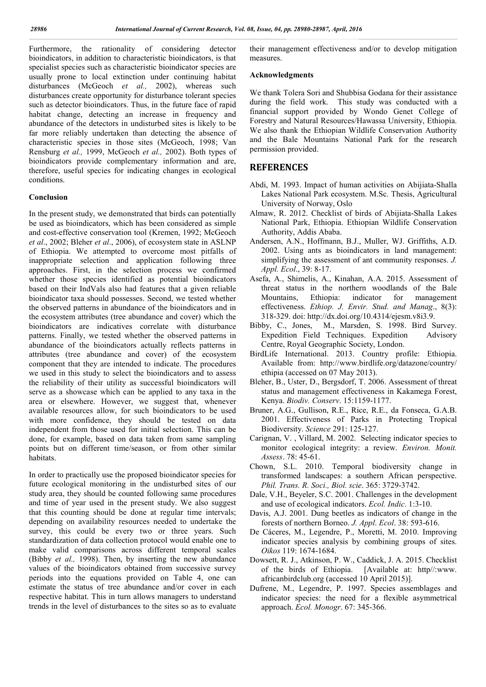Furthermore, the rationality of considering detector bioindicators, in addition to characteristic bioindicators, is that specialist species such as characteristic bioindicator species are usually prone to local extinction under continuing habitat disturbances (McGeoch *et al.,* 2002), whereas such disturbances create opportunity for disturbance tolerant species such as detector bioindicators. Thus, in the future face of rapid habitat change, detecting an increase in frequency and abundance of the detectors in undisturbed sites is likely to be far more reliably undertaken than detecting the absence of characteristic species in those sites (McGeoch, 1998; Van Rensburg *et al.,* 1999, McGeoch *et al.,* 2002). Both types of bioindicators provide complementary information and are, therefore, useful species for indicating changes in ecological conditions.

#### **Conclusion**

In the present study, we demonstrated that birds can potentially be used as bioindicators, which has been considered as simple and cost-effective conservation tool (Kremen, 1992; McGeoch *et al*., 2002; Bleher *et al*., 2006), of ecosystem state in ASLNP of Ethiopia. We attempted to overcome most pitfalls of inappropriate selection and application following three approaches. First, in the selection process we confirmed whether those species identified as potential bioindicators based on their IndVals also had features that a given reliable bioindicator taxa should possesses. Second, we tested whether the observed patterns in abundance of the bioindicators and in the ecosystem attributes (tree abundance and cover) which the bioindicators are indicatives correlate with disturbance patterns. Finally, we tested whether the observed patterns in abundance of the bioindicators actually reflects patterns in attributes (tree abundance and cover) of the ecosystem component that they are intended to indicate. The procedures we used in this study to select the bioindicators and to assess the reliability of their utility as successful bioindicators will serve as a showcase which can be applied to any taxa in the area or elsewhere. However, we suggest that, whenever available resources allow, for such bioindicators to be used with more confidence, they should be tested on data independent from those used for initial selection. This can be done, for example, based on data taken from same sampling points but on different time/season, or from other similar habitats.

In order to practically use the proposed bioindicator species for future ecological monitoring in the undisturbed sites of our study area, they should be counted following same procedures and time of year used in the present study. We also suggest that this counting should be done at regular time intervals; depending on availability resources needed to undertake the survey, this could be every two or three years. Such standardization of data collection protocol would enable one to make valid comparisons across different temporal scales (Bibby *et al.,* 1998). Then, by inserting the new abundance values of the bioindicators obtained from successive survey periods into the equations provided on Table 4, one can estimate the status of tree abundance and/or cover in each respective habitat. This in turn allows managers to understand trends in the level of disturbances to the sites so as to evaluate

their management effectiveness and/or to develop mitigation measures.

#### **Acknowledgments**

We thank Tolera Sori and Shubbisa Godana for their assistance during the field work. This study was conducted with a financial support provided by Wondo Genet College of Forestry and Natural Resources/Hawassa University, Ethiopia. We also thank the Ethiopian Wildlife Conservation Authority and the Bale Mountains National Park for the research permission provided.

#### **REFERENCES**

- Abdi, M. 1993. Impact of human activities on Abijiata-Shalla Lakes National Park ecosystem. M.Sc. Thesis, Agricultural University of Norway, Oslo
- Almaw, R. 2012. Checklist of birds of Abijiata-Shalla Lakes National Park, Ethiopia. Ethiopian Wildlife Conservation Authority, Addis Ababa.
- Andersen, A.N., Hoffmann, B.J., Muller, WJ. Griffiths, A.D. 2002. Using ants as bioindicators in land management: simplifying the assessment of ant community responses. *J. Appl. Ecol*., 39: 8-17.
- Asefa, A., Shimelis, A., Kinahan, A.A. 2015. Assessment of threat status in the northern woodlands of the Bale Mountains, Ethiopia: indicator for management effectiveness. *Ethiop. J. Envir. Stud. and Manag*., 8(3): 318-329. doi: http://dx.doi.org/10.4314/ejesm.v8i3.9.
- Bibby, C., Jones, M., Marsden, S. 1998. Bird Survey. Expedition Field Techniques. Expedition Advisory Centre, Royal Geographic Society, London.
- BirdLife International. 2013. Country profile: Ethiopia. Available from: http://www.birdlife.org/datazone/country/ ethipia (accessed on 07 May 2013).
- Bleher, B., Uster, D., Bergsdorf, T. 2006. Assessment of threat status and management effectiveness in Kakamega Forest, Kenya. *Biodiv. Conserv*. 15:1159-1177.
- Bruner, A.G., Gullison, R.E., Rice, R.E., da Fonseca, G.A.B. 2001. Effectiveness of Parks in Protecting Tropical Biodiversity. *Science* 291: 125-127.
- Carignan, V. , Villard, M. 2002. Selecting indicator species to monitor ecological integrity: a review. *Environ. Monit. Assess*. 78: 45-61.
- Chown, S.L. 2010. Temporal biodiversity change in transformed landscapes: a southern African perspective. *Phil. Trans. R. Soci., Biol. scie*. 365: 3729-3742.
- Dale, V.H., Beyeler, S.C. 2001. Challenges in the development and use of ecological indicators. *Ecol. Indic*. 1:3-10.
- Davis, A.J. 2001. Dung beetles as indicators of change in the forests of northern Borneo. *J. Appl*. *Ecol*. 38: 593-616.
- De Cáceres, M., Legendre, P., Moretti, M. 2010. Improving indicator species analysis by combining groups of sites. *Oikos* 119: 1674-1684.
- Dowsett, R. J., Atkinson, P. W., Caddick, J. A. 2015. Checklist of the birds of Ethiopia. [Available at: http//:www. africanbirdclub.org (accessed 10 April 2015)].
- Dufrene, M., Legendre, P. 1997. Species assemblages and indicator species: the need for a flexible asymmetrical approach. *Ecol. Monogr*. 67: 345-366.